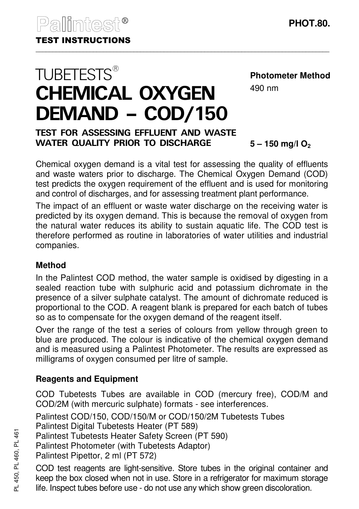**TUBETESTS®** 

# CHEMICAL OXYGEN **Photometer Method** 490 nm

# TEST FOR ASSESSING EFFLUENT AND WASTE WATER QUALITY PRIOR TO DISCHARGE

DEMAND – COD/150

**5 – 150 mg/l O<sup>2</sup>**

Chemical oxygen demand is a vital test for assessing the quality of effluents and waste waters prior to discharge. The Chemical Oxygen Demand (COD) test predicts the oxygen requirement of the effluent and is used for monitoring and control of discharges, and for assessing treatment plant performance.

The impact of an effluent or waste water discharge on the receiving water is predicted by its oxygen demand. This is because the removal of oxygen from the natural water reduces its ability to sustain aquatic life. The COD test is therefore performed as routine in laboratories of water utilities and industrial companies.

### **Method**

In the Palintest COD method, the water sample is oxidised by digesting in a sealed reaction tube with sulphuric acid and potassium dichromate in the presence of a silver sulphate catalyst. The amount of dichromate reduced is proportional to the COD. A reagent blank is prepared for each batch of tubes so as to compensate for the oxygen demand of the reagent itself.

Over the range of the test a series of colours from yellow through green to blue are produced. The colour is indicative of the chemical oxygen demand and is measured using a Palintest Photometer. The results are expressed as milligrams of oxygen consumed per litre of sample.

### **Reagents and Equipment**

COD Tubetests Tubes are available in COD (mercury free), COD/M and COD/2M (with mercuric sulphate) formats - see interferences.

Palintest COD/150, COD/150/M or COD/150/2M Tubetests Tubes

Palintest Digital Tubetests Heater (PT 589)

Palintest Tubetests Heater Safety Screen (PT 590)

Palintest Photometer (with Tubetests Adaptor)

Palintest Pipettor, 2 ml (PT 572)

COD test reagents are light-sensitive. Store tubes in the original container and keep the box closed when not in use. Store in a refrigerator for maximum storage life. Inspect tubes before use - do not use any which show green discoloration.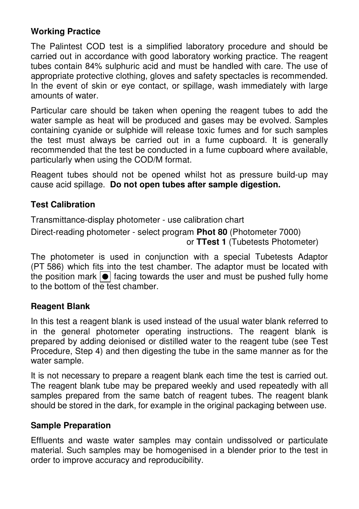# **Working Practice**

The Palintest COD test is a simplified laboratory procedure and should be carried out in accordance with good laboratory working practice. The reagent tubes contain 84% sulphuric acid and must be handled with care. The use of appropriate protective clothing, gloves and safety spectacles is recommended. In the event of skin or eye contact, or spillage, wash immediately with large amounts of water.

Particular care should be taken when opening the reagent tubes to add the water sample as heat will be produced and gases may be evolved. Samples containing cyanide or sulphide will release toxic fumes and for such samples the test must always be carried out in a fume cupboard. It is generally recommended that the test be conducted in a fume cupboard where available, particularly when using the COD/M format.

Reagent tubes should not be opened whilst hot as pressure build-up may cause acid spillage. **Do not open tubes after sample digestion.**

### **Test Calibration**

Transmittance-display photometer - use calibration chart

Direct-reading photometer - select program **Phot 80** (Photometer 7000) or **TTest 1** (Tubetests Photometer)

The photometer is used in conjunction with a special Tubetests Adaptor (PT 586) which fits into the test chamber. The adaptor must be located with the position mark  $\boxed{\bullet}$  facing towards the user and must be pushed fully home to the bottom of the test chamber.

### **Reagent Blank**

In this test a reagent blank is used instead of the usual water blank referred to in the general photometer operating instructions. The reagent blank is prepared by adding deionised or distilled water to the reagent tube (see Test Procedure, Step 4) and then digesting the tube in the same manner as for the water sample.

It is not necessary to prepare a reagent blank each time the test is carried out. The reagent blank tube may be prepared weekly and used repeatedly with all samples prepared from the same batch of reagent tubes. The reagent blank should be stored in the dark, for example in the original packaging between use.

### **Sample Preparation**

Effluents and waste water samples may contain undissolved or particulate material. Such samples may be homogenised in a blender prior to the test in order to improve accuracy and reproducibility.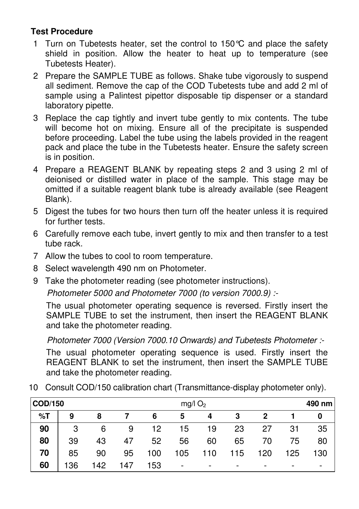# **Test Procedure**

- 1 Turn on Tubetests heater, set the control to 150°C and place the safety shield in position. Allow the heater to heat up to temperature (see Tubetests Heater).
- 2 Prepare the SAMPLE TUBE as follows. Shake tube vigorously to suspend all sediment. Remove the cap of the COD Tubetests tube and add 2 ml of sample using a Palintest pipettor disposable tip dispenser or a standard laboratory pipette.
- 3 Replace the cap tightly and invert tube gently to mix contents. The tube will become hot on mixing. Ensure all of the precipitate is suspended before proceeding. Label the tube using the labels provided in the reagent pack and place the tube in the Tubetests heater. Ensure the safety screen is in position.
- 4 Prepare a REAGENT BLANK by repeating steps 2 and 3 using 2 ml of deionised or distilled water in place of the sample. This stage may be omitted if a suitable reagent blank tube is already available (see Reagent Blank).
- 5 Digest the tubes for two hours then turn off the heater unless it is required for further tests.
- 6 Carefully remove each tube, invert gently to mix and then transfer to a test tube rack.
- 7 Allow the tubes to cool to room temperature.
- 8 Select wavelength 490 nm on Photometer.
- 9 Take the photometer reading (see photometer instructions).

Photometer 5000 and Photometer 7000 (to version 7000.9) :-

The usual photometer operating sequence is reversed. Firstly insert the SAMPLE TUBE to set the instrument, then insert the REAGENT BLANK and take the photometer reading.

Photometer 7000 (Version 7000.10 Onwards) and Tubetests Photometer :-

The usual photometer operating sequence is used. Firstly insert the REAGENT BLANK to set the instrument, then insert the SAMPLE TUBE and take the photometer reading.

10 Consult COD/150 calibration chart (Transmittance-display photometer only).

| <b>COD/150</b> |     |     |     | $mg/l$ O <sub>2</sub> |                          |     |     |     | 490 nm                   |     |  |
|----------------|-----|-----|-----|-----------------------|--------------------------|-----|-----|-----|--------------------------|-----|--|
| %T             | 9   | 8   |     | 6                     | 5                        | 4   | З   | 2   |                          |     |  |
| 90             | 3   | 6   | 9   | 12                    | 15                       | 19  | 23  | 27  | 31                       | 35  |  |
| 80             | 39  | 43  | 47  | 52                    | 56                       | 60  | 65  | 70  | 75                       | 80  |  |
| 70             | 85  | 90  | 95  | 100                   | 105                      | 110 | 115 | 120 | 125                      | 130 |  |
| 60             | 136 | 142 | 147 | 153                   | $\overline{\phantom{0}}$ |     |     |     | $\overline{\phantom{0}}$ |     |  |